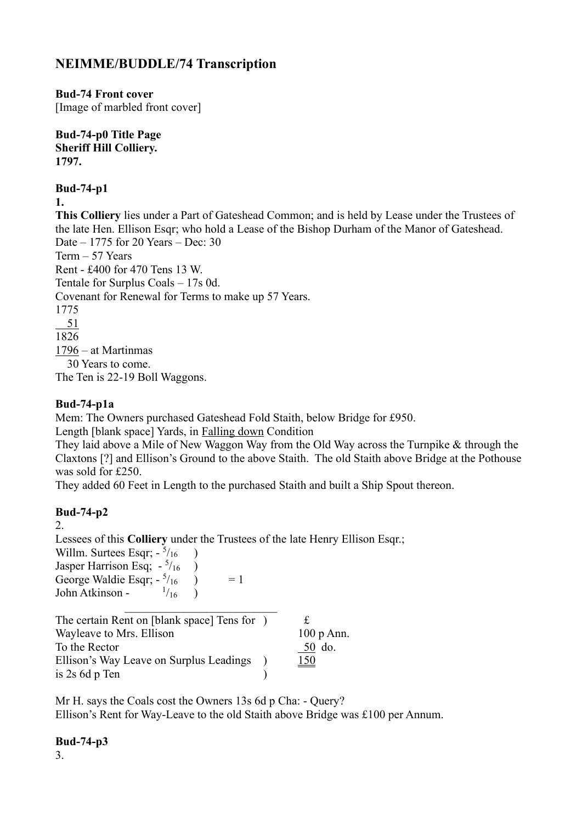## **NEIMME/BUDDLE/74 Transcription**

**Bud-74 Front cover**

[Image of marbled front cover]

**Bud-74-p0 Title Page Sheriff Hill Colliery. 1797.**

**Bud-74-p1**

**1.**

**This Colliery** lies under a Part of Gateshead Common; and is held by Lease under the Trustees of the late Hen. Ellison Esqr; who hold a Lease of the Bishop Durham of the Manor of Gateshead. Date – 1775 for 20 Years – Dec: 30 Term – 57 Years Rent - £400 for 470 Tens 13 W. Tentale for Surplus Coals – 17s 0d. Covenant for Renewal for Terms to make up 57 Years. 1775  $-51$ 1826 1796 – at Martinmas 30 Years to come. The Ten is 22-19 Boll Waggons.

## **Bud-74-p1a**

Mem: The Owners purchased Gateshead Fold Staith, below Bridge for £950.

Length [blank space] Yards, in Falling down Condition

They laid above a Mile of New Waggon Way from the Old Way across the Turnpike & through the Claxtons [?] and Ellison's Ground to the above Staith. The old Staith above Bridge at the Pothouse was sold for £250.

They added 60 Feet in Length to the purchased Staith and built a Ship Spout thereon.

## **Bud-74-p2**

2.

Lessees of this **Colliery** under the Trustees of the late Henry Ellison Esqr.;

Willm. Surtees Esqr;  $-5/16$  ) Jasper Harrison Esq;  $-5/16$  ) George Waldie Esqr;  $-5/16$   $= 1$ John Atkinson -  $^{1/16}$  )

| The certain Rent on [blank space] Tens for ) | £            |
|----------------------------------------------|--------------|
| Wayleave to Mrs. Ellison                     | $100 p$ Ann. |
| To the Rector                                | 50 do.       |
| Ellison's Way Leave on Surplus Leadings      | <u> 150</u>  |
| is 2s 6d p Ten                               |              |

Mr H. says the Coals cost the Owners 13s 6d p Cha: - Query? Ellison's Rent for Way-Leave to the old Staith above Bridge was £100 per Annum.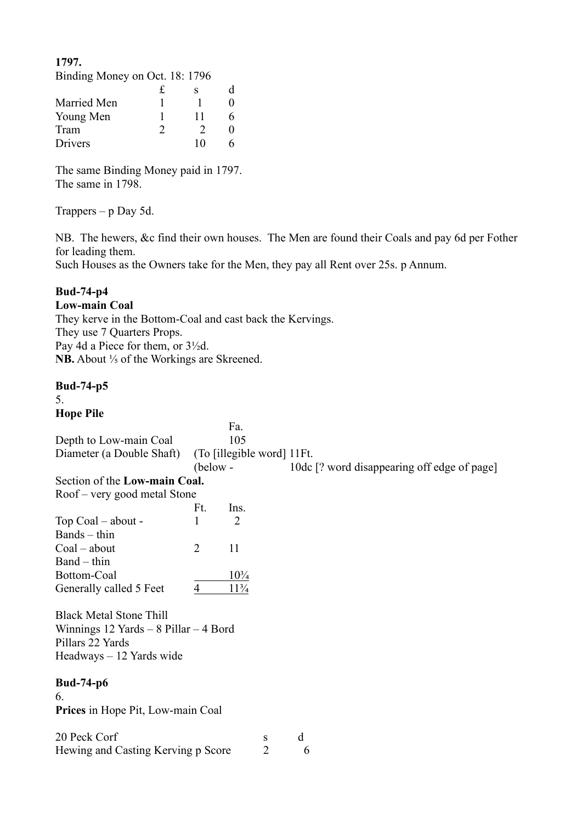**1797.**

| Binding Money on Oct. 18: 1796 |               |    |  |
|--------------------------------|---------------|----|--|
|                                | £             | s  |  |
| Married Men                    |               |    |  |
| Young Men                      |               | 11 |  |
| Tram                           | $\mathcal{D}$ |    |  |
| Drivers                        |               | 10 |  |

The same Binding Money paid in 1797. The same in 1798.

Trappers  $-$  p Day 5d.

NB. The hewers, &c find their own houses. The Men are found their Coals and pay 6d per Fother for leading them.

Such Houses as the Owners take for the Men, they pay all Rent over 25s. p Annum.

### **Bud-74-p4**

**Low-main Coal** They kerve in the Bottom-Coal and cast back the Kervings. They use 7 Quarters Props. Pay 4d a Piece for them, or 3½d. **NB.** About <sup>1</sup>/<sub>5</sub> of the Workings are Skreened.

Hewing and Casting Kerving p Score 2 6

**Bud-74-p5** 5. **Hope Pile** Fa. Depth to Low-main Coal 105 Diameter (a Double Shaft) (To [illegible word] 11Ft. (below - 10dc [? word disappearing off edge of page] Section of the **Low-main Coal.** Roof – very good metal Stone Ft. Ins. Top Coal – about -  $1 \t 2$ Bands – thin  $Coal - about$  2 11 Band – thin Bottom-Coal 10<sup>3</sup>/<sub>4</sub> Generally called 5 Feet  $\frac{4}{11\frac{3}{4}}$ Black Metal Stone Thill Winnings 12 Yards – 8 Pillar – 4 Bord Pillars 22 Yards Headways – 12 Yards wide **Bud-74-p6** 6. **Prices** in Hope Pit, Low-main Coal 20 Peck Corf s d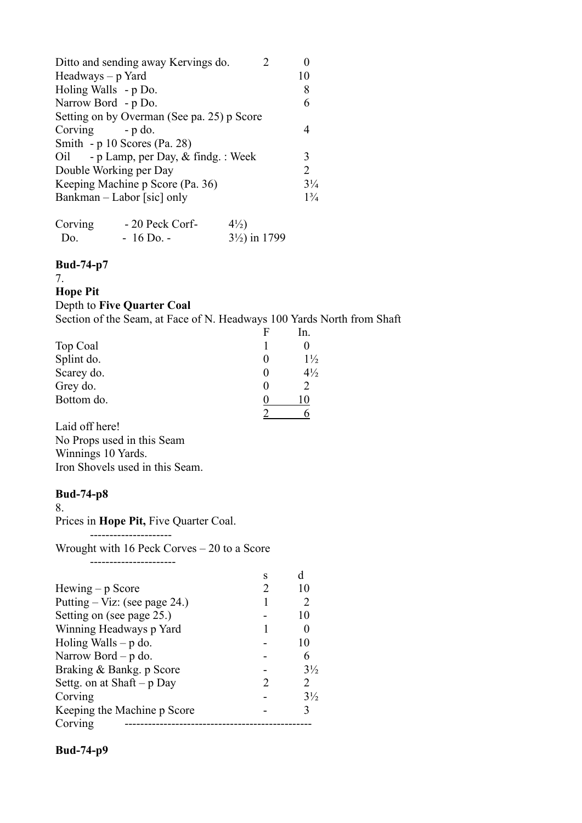| Ditto and sending away Kervings do.        |                       |
|--------------------------------------------|-----------------------|
| $Headways - p$ Yard                        | 10                    |
| Holing Walls - p Do.                       | 8                     |
| Narrow Bord - p Do.                        | 6                     |
| Setting on by Overman (See pa. 25) p Score |                       |
| $Corving - p do.$                          |                       |
| Smith - $p$ 10 Scores (Pa. 28)             |                       |
| Oil - p Lamp, per Day, & findg.: Week      | 3                     |
| Double Working per Day                     | $\mathcal{D}_{\cdot}$ |
| Keeping Machine p Score (Pa. 36)           | $3\frac{1}{4}$        |
| Bankman – Labor [sic] only                 | $1\frac{3}{4}$        |
|                                            |                       |

| Corving | - 20 Peck Corf- | $4\frac{1}{2}$           |
|---------|-----------------|--------------------------|
| Do.     | $-16$ Do. $-$   | $3\frac{1}{2}$ ) in 1799 |

7.

#### **Hope Pit**

#### Depth to **Five Quarter Coal**

Section of the Seam, at Face of N. Headways 100 Yards North from Shaft

|            | F | In.            |
|------------|---|----------------|
| Top Coal   |   |                |
| Splint do. |   | $1\frac{1}{2}$ |
| Scarey do. |   | $4\frac{1}{2}$ |
| Grey do.   |   |                |
| Bottom do. |   |                |
|            |   |                |

Laid off here! No Props used in this Seam Winnings 10 Yards. Iron Shovels used in this Seam.

#### **Bud-74-p8**

8.

Prices in **Hope Pit,** Five Quarter Coal.

---------------------

Wrought with 16 Peck Corves – 20 to a Score

----------------------

|                               | s                           |                       |
|-------------------------------|-----------------------------|-----------------------|
| $Hewing - p Score$            |                             | 10                    |
| Putting – Viz: (see page 24.) |                             |                       |
| Setting on (see page 25.)     |                             | 10                    |
| Winning Headways p Yard       |                             |                       |
| Holing Walls $- p$ do.        |                             | 10                    |
| Narrow Bord $- p$ do.         |                             | 6                     |
| Braking & Bankg. p Score      |                             | $3\frac{1}{2}$        |
| Settg. on at Shaft $-p$ Day   | $\mathcal{D}_{\mathcal{L}}$ | $\mathcal{D}_{\cdot}$ |
| Corving                       |                             | $3\frac{1}{2}$        |
| Keeping the Machine p Score   |                             |                       |
| Corving                       |                             |                       |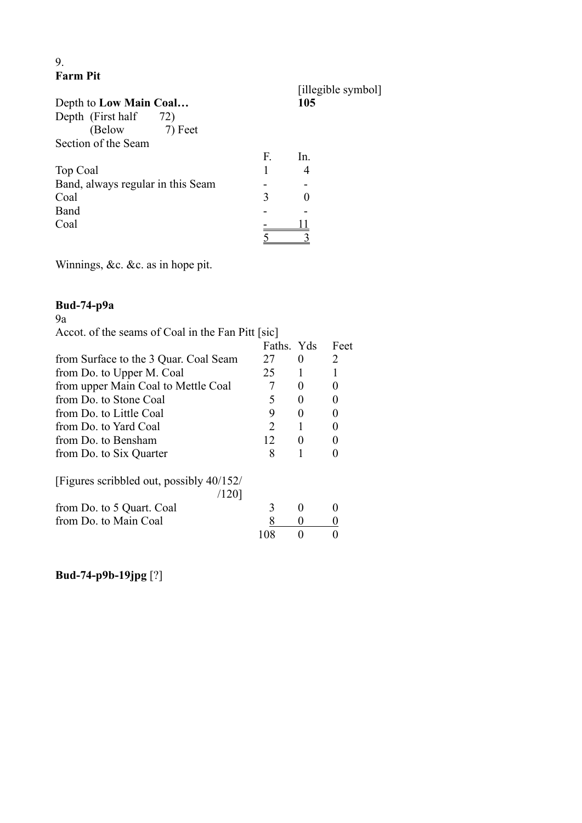## 9. **Farm Pit**

| Depth to Low Main Coal            |    | [illegible symbol]<br>105 |
|-----------------------------------|----|---------------------------|
| Depth (First half<br>72)          |    |                           |
| (Below 7) Feet                    |    |                           |
| Section of the Seam               |    |                           |
|                                   | F. | In.                       |
| Top Coal                          |    |                           |
| Band, always regular in this Seam |    |                           |
| Coal                              | 3  |                           |
| Band                              |    |                           |
| Coal                              |    |                           |
|                                   |    |                           |

Winnings, &c. &c. as in hope pit.

## **Bud-74-p9a**

# $\frac{1}{9a}$

Accot. of the seams of Coal in the Fan Pitt [sic]

|                                          | Faths. Yds                  |          | Feet |
|------------------------------------------|-----------------------------|----------|------|
| from Surface to the 3 Quar. Coal Seam    | 27                          | $\theta$ |      |
| from Do. to Upper M. Coal                | 25                          |          |      |
| from upper Main Coal to Mettle Coal      |                             |          |      |
| from Do. to Stone Coal                   | 5                           |          |      |
| from Do. to Little Coal                  | 9                           |          |      |
| from Do. to Yard Coal                    | $\mathcal{D}_{\mathcal{L}}$ |          |      |
| from Do. to Bensham                      | 12                          |          |      |
| from Do. to Six Quarter                  | 8                           |          |      |
| [Figures scribbled out, possibly 40/152/ |                             |          |      |
| /1201                                    |                             |          |      |
| from Do. to 5 Quart. Coal                | 3                           |          |      |
| from Do. to Main Coal                    |                             |          |      |
|                                          |                             |          |      |

**Bud-74-p9b-19jpg** [?]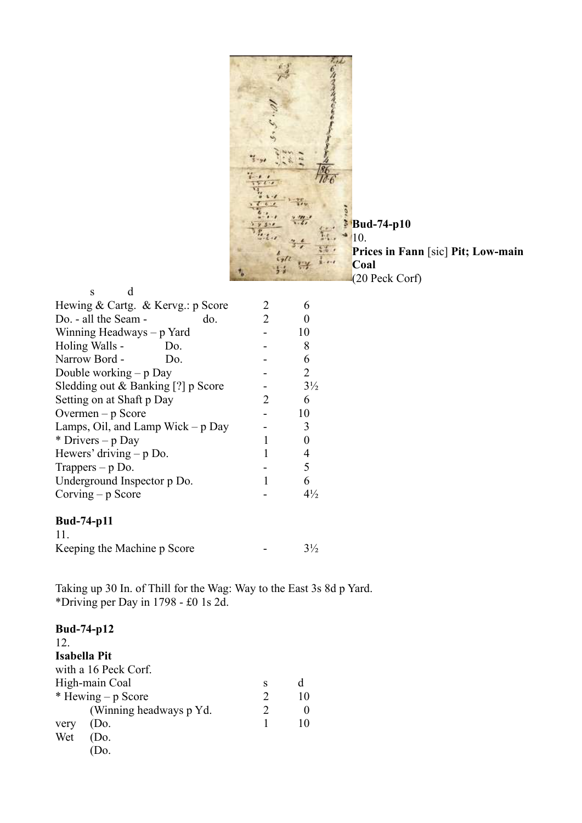$\frac{1}{2}$ ý. 10  $5.$  $10.6$  $T - 1$  $\ddot{\phantom{a}}$  $\frac{1}{1+\frac{1}{2}}$  $\overline{a}$ õ  $\dddot{\phantom{0}}$  $\frac{2}{\sqrt{2}}$ **Bud-74-p10**  $\frac{1}{2}$  $*10.$ У., 生  $\frac{1}{2}$ **Prices in Fann** [sic] **Pit; Low-main**   $\frac{1}{2}$ 174 **Coal**  $5.5$ (20 Peck Corf)

| S                                  |                             |                       |
|------------------------------------|-----------------------------|-----------------------|
| Hewing & Cartg. & Kervg.: p Score  | 2                           |                       |
| Do. - all the Seam -<br>do.        | 2                           |                       |
| Winning Headways $- p$ Yard        |                             | 10                    |
| Holing Walls -<br>Do.              |                             | 8                     |
| Narrow Bord -<br>Do.               |                             | 6                     |
| Double working $-p$ Day            |                             | $\mathcal{D}_{\cdot}$ |
| Sledding out & Banking [?] p Score |                             | $3\frac{1}{2}$        |
| Setting on at Shaft p Day          | $\mathcal{D}_{\mathcal{L}}$ | 6                     |
| Overmen $-p$ Score                 |                             | 10                    |
| Lamps, Oil, and Lamp Wick $-p$ Day |                             | 3                     |
| * Drivers – $p$ Day                |                             |                       |
| Hewers' driving $-p$ Do.           |                             |                       |
| Trappers $-p$ Do.                  |                             | 5                     |
| Underground Inspector p Do.        |                             | 6                     |
| Corving $-p$ Score                 |                             | $4\frac{1}{2}$        |
| <b>Bud-74-p11</b>                  |                             |                       |

| 11.                         |                |
|-----------------------------|----------------|
| Keeping the Machine p Score | $3\frac{1}{2}$ |

Taking up 30 In. of Thill for the Wag: Way to the East 3s 8d p Yard. \*Driving per Day in 1798 - £0 1s 2d.

| <b>Bud-74-p12</b> |                          |   |                          |
|-------------------|--------------------------|---|--------------------------|
| 12.               |                          |   |                          |
| Isabella Pit      |                          |   |                          |
|                   | with a 16 Peck Corf.     |   |                          |
|                   | High-main Coal           | S | d                        |
|                   | $*$ Hewing – p Score     | 2 | 10                       |
|                   | (Winning headways p Yd.) | 2 |                          |
| very              | (Do.                     |   | $\mathbf{I}(\mathbf{I})$ |
| Wet               | (Do.                     |   |                          |
|                   |                          |   |                          |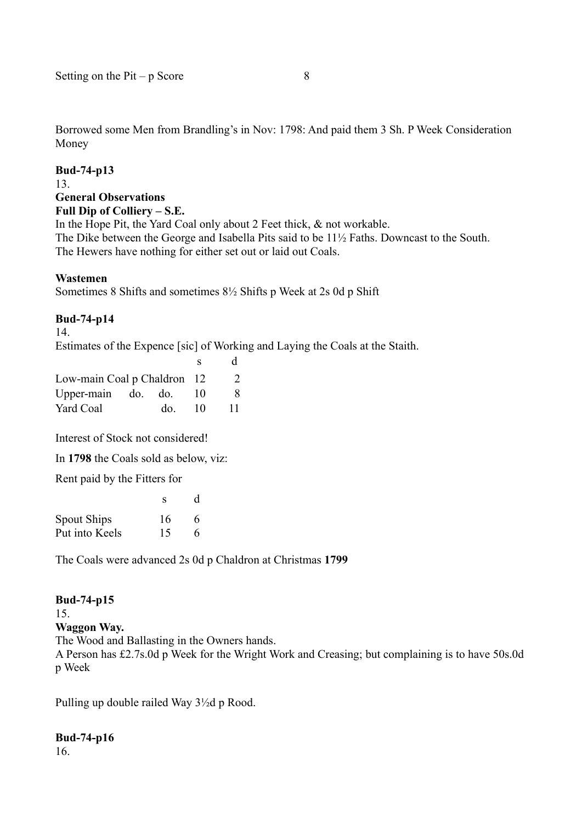Borrowed some Men from Brandling's in Nov: 1798: And paid them 3 Sh. P Week Consideration Money

#### **Bud-74-p13**

#### 13.

### **General Observations**

**Full Dip of Colliery – S.E.**

In the Hope Pit, the Yard Coal only about 2 Feet thick, & not workable. The Dike between the George and Isabella Pits said to be 11½ Faths. Downcast to the South. The Hewers have nothing for either set out or laid out Coals.

#### **Wastemen**

Sometimes 8 Shifts and sometimes 8½ Shifts p Week at 2s 0d p Shift

#### **Bud-74-p14**

14.

Estimates of the Expence [sic] of Working and Laying the Coals at the Staith.

|                             |     | s  | <sub>d</sub> |
|-----------------------------|-----|----|--------------|
| Low-main Coal p Chaldron 12 |     |    | $\mathbb{Z}$ |
| Upper-main do. do.          |     | 10 | 8            |
| Yard Coal                   | do. | 10 | 11           |

Interest of Stock not considered!

In **1798** the Coals sold as below, viz:

Rent paid by the Fitters for

|                | s  | d |
|----------------|----|---|
| Spout Ships    | 16 | 6 |
| Put into Keels | 15 | 6 |

The Coals were advanced 2s 0d p Chaldron at Christmas **1799**

# **Bud-74-p15**

15.

**Waggon Way.**

The Wood and Ballasting in the Owners hands. A Person has £2.7s.0d p Week for the Wright Work and Creasing; but complaining is to have 50s.0d p Week

Pulling up double railed Way 3½d p Rood.

### **Bud-74-p16**

16.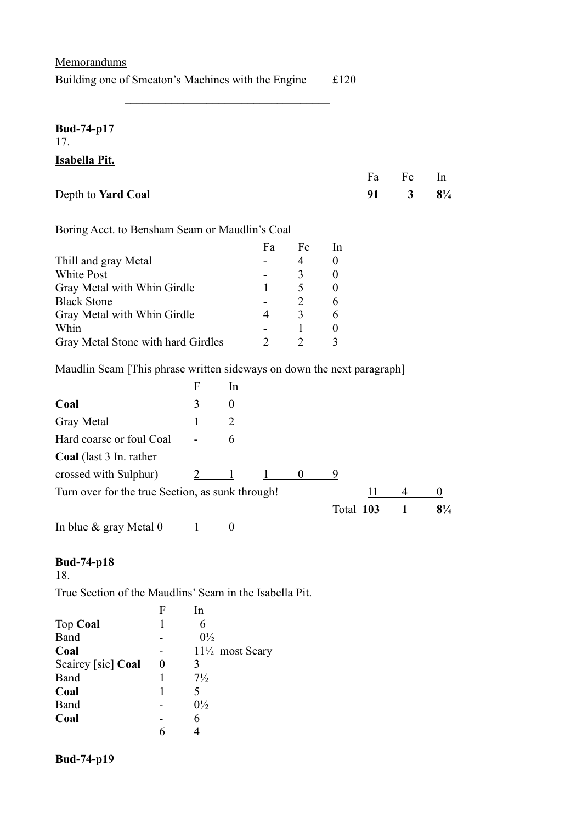| Memorandums                                                            |                       |                     |                  |                |                     |                  |    |                |                |
|------------------------------------------------------------------------|-----------------------|---------------------|------------------|----------------|---------------------|------------------|----|----------------|----------------|
| Building one of Smeaton's Machines with the Engine                     |                       |                     |                  |                |                     | £120             |    |                |                |
| <b>Bud-74-p17</b><br>17.                                               |                       |                     |                  |                |                     |                  |    |                |                |
| Isabella Pit.                                                          |                       |                     |                  |                |                     |                  |    |                |                |
|                                                                        |                       |                     |                  |                |                     |                  | Fa | Fe             | In             |
| Depth to Yard Coal                                                     |                       |                     |                  |                |                     |                  | 91 | 3              | $8\frac{1}{4}$ |
| Boring Acct. to Bensham Seam or Maudlin's Coal                         |                       |                     |                  |                |                     |                  |    |                |                |
|                                                                        |                       |                     |                  | Fa             | Fe                  | In               |    |                |                |
| Thill and gray Metal                                                   |                       |                     |                  |                | $\overline{4}$      | $\boldsymbol{0}$ |    |                |                |
| <b>White Post</b>                                                      |                       |                     |                  |                | 3                   | $\boldsymbol{0}$ |    |                |                |
| Gray Metal with Whin Girdle<br><b>Black Stone</b>                      |                       |                     |                  | 1              | 5<br>$\overline{2}$ | $\boldsymbol{0}$ |    |                |                |
| Gray Metal with Whin Girdle                                            |                       |                     |                  | $\overline{4}$ | 3                   | 6<br>6           |    |                |                |
| Whin                                                                   |                       |                     |                  |                | $\mathbf{1}$        | $\boldsymbol{0}$ |    |                |                |
| Gray Metal Stone with hard Girdles                                     |                       |                     |                  | $\overline{2}$ | $\overline{2}$      | 3                |    |                |                |
| Maudlin Seam [This phrase written sideways on down the next paragraph] |                       |                     |                  |                |                     |                  |    |                |                |
|                                                                        |                       | $\overline{F}$      | In               |                |                     |                  |    |                |                |
| Coal                                                                   |                       | 3                   | $\overline{0}$   |                |                     |                  |    |                |                |
| <b>Gray Metal</b>                                                      |                       | 1                   | 2                |                |                     |                  |    |                |                |
| Hard coarse or foul Coal                                               |                       |                     | 6                |                |                     |                  |    |                |                |
| Coal (last 3 In. rather                                                |                       |                     |                  |                |                     |                  |    |                |                |
| crossed with Sulphur)                                                  |                       | $\frac{2}{ }$       | $\mathbf{1}$     |                | $\bf{0}$            | $\overline{9}$   |    |                |                |
| Turn over for the true Section, as sunk through!                       |                       |                     |                  |                |                     |                  |    | $\frac{11}{4}$ | $\overline{0}$ |
|                                                                        |                       |                     |                  |                |                     | Total 103        |    | $\mathbf{1}$   | $8\frac{1}{4}$ |
| In blue & gray Metal 0                                                 |                       | $\mathbf{1}$        | $\boldsymbol{0}$ |                |                     |                  |    |                |                |
| <b>Bud-74-p18</b><br>18.                                               |                       |                     |                  |                |                     |                  |    |                |                |
| True Section of the Maudlins' Seam in the Isabella Pit.                |                       |                     |                  |                |                     |                  |    |                |                |
|                                                                        | F                     | In                  |                  |                |                     |                  |    |                |                |
| Top Coal                                                               | 1                     | 6                   |                  |                |                     |                  |    |                |                |
| Band                                                                   |                       | $0\frac{1}{2}$      |                  |                |                     |                  |    |                |                |
| Coal                                                                   |                       |                     | 11½ most Scary   |                |                     |                  |    |                |                |
| Scairey [sic] Coal<br>Band                                             | $\boldsymbol{0}$<br>1 | 3<br>$7\frac{1}{2}$ |                  |                |                     |                  |    |                |                |
| Coal                                                                   | 1                     | 5                   |                  |                |                     |                  |    |                |                |
| Band                                                                   |                       | $0\frac{1}{2}$      |                  |                |                     |                  |    |                |                |
| Coal                                                                   |                       | <u>6</u>            |                  |                |                     |                  |    |                |                |
|                                                                        | 6                     | $\overline{4}$      |                  |                |                     |                  |    |                |                |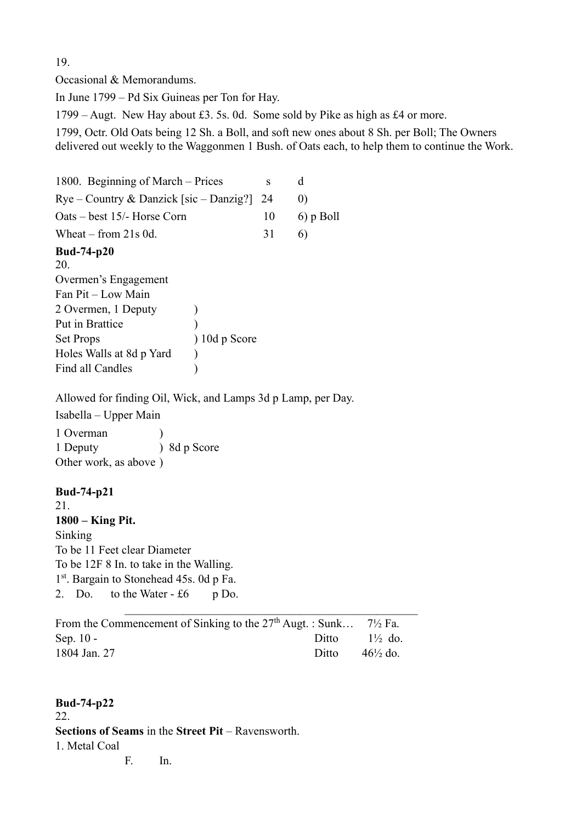19.

Occasional & Memorandums.

In June 1799 – Pd Six Guineas per Ton for Hay.

1799 – Augt. New Hay about £3. 5s. 0d. Some sold by Pike as high as £4 or more.

1799, Octr. Old Oats being 12 Sh. a Boll, and soft new ones about 8 Sh. per Boll; The Owners delivered out weekly to the Waggonmen 1 Bush. of Oats each, to help them to continue the Work.

1800. Beginning of March – Prices s d  $Rye - Country & Danzick [sic - Danzig?]$  24 0) Oats – best  $15/-$  Horse Corn 10 6) p Boll Wheat – from 21s 0d.  $31 \t 6$ **Bud-74-p20** 20. Overmen's Engagement Fan Pit – Low Main 2 Overmen, 1 Deputy (a) Put in Brattice (1) Set Props ) 10d p Score Holes Walls at 8d p Yard (a) Find all Candles (a) Allowed for finding Oil, Wick, and Lamps 3d p Lamp, per Day. Isabella – Upper Main 1 Overman ) 1 Deputy ) 8d p Score Other work, as above ) **Bud-74-p21** 21. **1800 – King Pit.** Sinking To be 11 Feet clear Diameter To be 12F 8 In. to take in the Walling. 1<sup>st</sup>. Bargain to Stonehead 45s. 0d p Fa. 2. Do. to the Water  $- f6$  p Do.

| From the Commencement of Sinking to the $27th$ Augt.: Sunk 7 <sup>1</sup> / <sub>2</sub> Fa. |       |                     |
|----------------------------------------------------------------------------------------------|-------|---------------------|
| Sep. $10 -$                                                                                  | Ditto | $1\frac{1}{2}$ do.  |
| 1804 Jan. 27                                                                                 | Ditto | $46\frac{1}{2}$ do. |

## **Bud-74-p22** 22. **Sections of Seams** in the **Street Pit** – Ravensworth. 1. Metal Coal

F. In.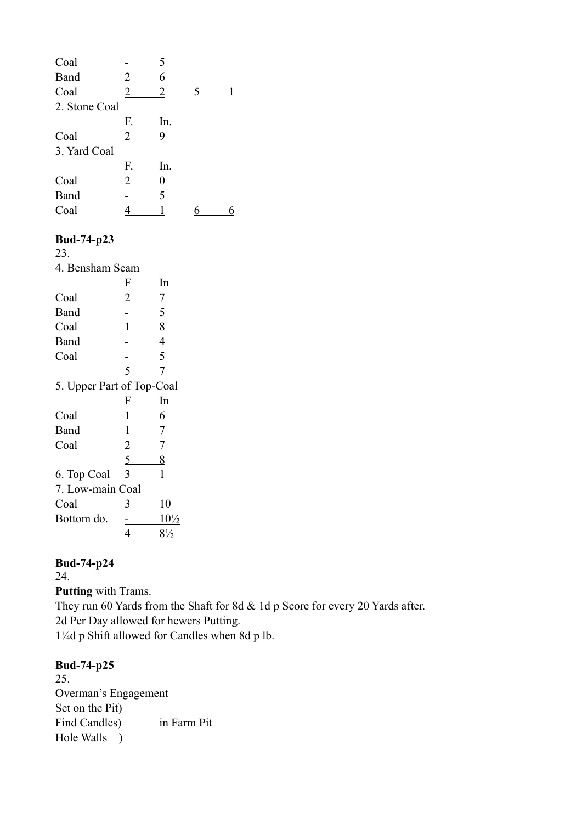| Coal          |                | 5              |   |  |
|---------------|----------------|----------------|---|--|
| Band          | $\overline{2}$ | 6              |   |  |
| Coal          | $\overline{2}$ | $\overline{2}$ | 5 |  |
| 2. Stone Coal |                |                |   |  |
|               | F.             | In.            |   |  |
| Coal          | 2              | 9              |   |  |
| 3. Yard Coal  |                |                |   |  |
|               | F.             | In.            |   |  |
| Coal          | 2              | 0              |   |  |
| Band          |                | 5              |   |  |
| Coal          |                |                |   |  |

23.

| 4. Bensham Seam           |                |                 |  |  |  |
|---------------------------|----------------|-----------------|--|--|--|
|                           | F              | In              |  |  |  |
| Coal                      | 2              | 7               |  |  |  |
| Band                      |                | 5               |  |  |  |
| Coal                      | 1              | 8               |  |  |  |
| Band                      |                | 4               |  |  |  |
| Coal                      |                | <u>5</u>        |  |  |  |
|                           | 5              | 7               |  |  |  |
| 5. Upper Part of Top-Coal |                |                 |  |  |  |
|                           | F              | In              |  |  |  |
| Coal                      | 1              | 6               |  |  |  |
| Band                      | 1              | 7               |  |  |  |
| Coal                      | $\overline{2}$ | <u>7</u>        |  |  |  |
|                           | $\frac{5}{2}$  | $\frac{8}{5}$   |  |  |  |
| 6. Top Coal               | 3              | 1               |  |  |  |
| 7. Low-main Coal          |                |                 |  |  |  |
| Coal                      | 3              | 10              |  |  |  |
| Bottom do.                |                | $10\frac{1}{2}$ |  |  |  |
|                           | 4              | $8\frac{1}{2}$  |  |  |  |

## **Bud-74-p24**

24.

**Putting** with Trams.

They run 60 Yards from the Shaft for 8d & 1d p Score for every 20 Yards after. 2d Per Day allowed for hewers Putting. 1¼d p Shift allowed for Candles when 8d p lb.

## **Bud-74-p25**

25. Overman's Engagement Set on the Pit) Find Candles) in Farm Pit Hole Walls )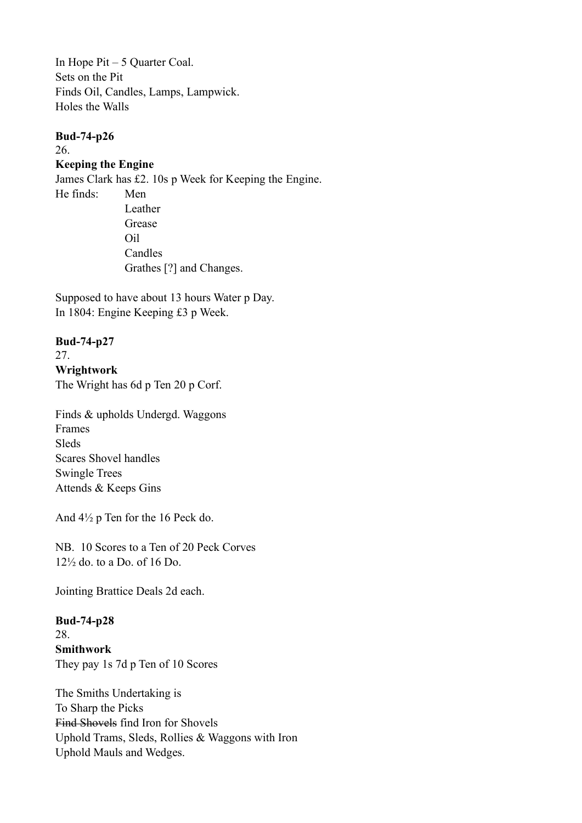In Hope Pit – 5 Quarter Coal. Sets on the Pit Finds Oil, Candles, Lamps, Lampwick. Holes the Walls

## **Bud-74-p26**

26.

### **Keeping the Engine**

James Clark has £2. 10s p Week for Keeping the Engine. He finds: Men Leather Grease Oil Candles Grathes [?] and Changes.

Supposed to have about 13 hours Water p Day. In 1804: Engine Keeping £3 p Week.

## **Bud-74-p27**

27.

## **Wrightwork**

The Wright has 6d p Ten 20 p Corf.

Finds & upholds Undergd. Waggons Frames Sleds Scares Shovel handles Swingle Trees Attends & Keeps Gins

And 4½ p Ten for the 16 Peck do.

NB. 10 Scores to a Ten of 20 Peck Corves 12½ do. to a Do. of 16 Do.

Jointing Brattice Deals 2d each.

**Bud-74-p28** 28. **Smithwork** They pay 1s 7d p Ten of 10 Scores

The Smiths Undertaking is To Sharp the Picks Find Shovels find Iron for Shovels Uphold Trams, Sleds, Rollies & Waggons with Iron Uphold Mauls and Wedges.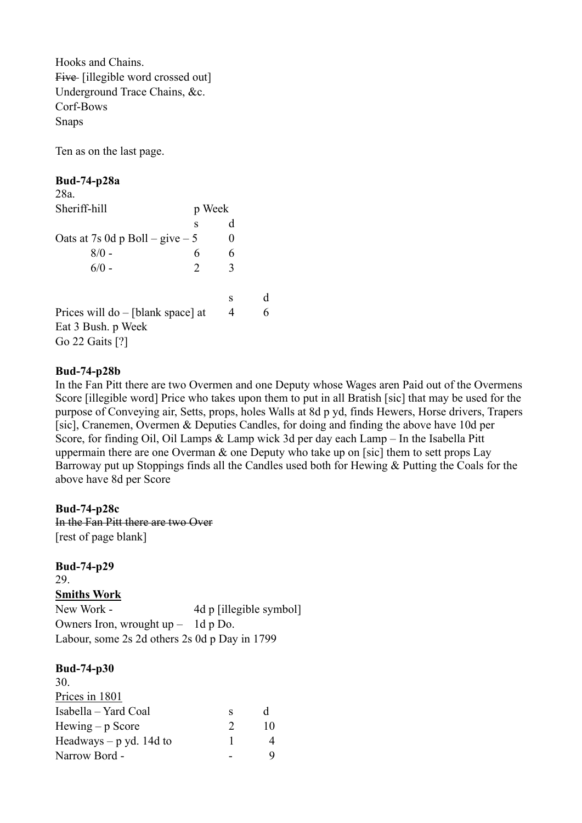Hooks and Chains. Five [illegible word crossed out] Underground Trace Chains, &c. Corf-Bows Snaps

Ten as on the last page.

#### **Bud-74-p28a**

| 28a.                                |        |   |   |
|-------------------------------------|--------|---|---|
| Sheriff-hill                        | p Week |   |   |
|                                     | S      | d |   |
| Oats at 7s 0d p Boll – give – 5     |        | 0 |   |
| $8/0 -$                             | 6      | 6 |   |
| $6/0 -$                             | 2      | 3 |   |
|                                     |        | S | d |
| Prices will $do$ – [blank space] at |        | 4 | 6 |
| Eat 3 Bush. p Week                  |        |   |   |
| Go 22 Gaits [?]                     |        |   |   |

#### **Bud-74-p28b**

In the Fan Pitt there are two Overmen and one Deputy whose Wages aren Paid out of the Overmens Score [illegible word] Price who takes upon them to put in all Bratish [sic] that may be used for the purpose of Conveying air, Setts, props, holes Walls at 8d p yd, finds Hewers, Horse drivers, Trapers [sic], Cranemen, Overmen & Deputies Candles, for doing and finding the above have 10d per Score, for finding Oil, Oil Lamps & Lamp wick 3d per day each Lamp – In the Isabella Pitt uppermain there are one Overman & one Deputy who take up on [sic] them to sett props Lay Barroway put up Stoppings finds all the Candles used both for Hewing & Putting the Coals for the above have 8d per Score

#### **Bud-74-p28c**

In the Fan Pitt there are two Over [rest of page blank]

## **Bud-74-p29**

29.

### **Smiths Work**

New Work - 4d p [illegible symbol] Owners Iron, wrought up – 1d p Do. Labour, some 2s 2d others 2s 0d p Day in 1799

| 30.                         |               |    |
|-----------------------------|---------------|----|
| Prices in 1801              |               |    |
| Isabella – Yard Coal        | s             | d  |
| $H \text{ewing} - p$ Score  | $\mathcal{D}$ | 10 |
| Headways $- p y d$ . 14d to |               |    |
| Narrow Bord -               |               |    |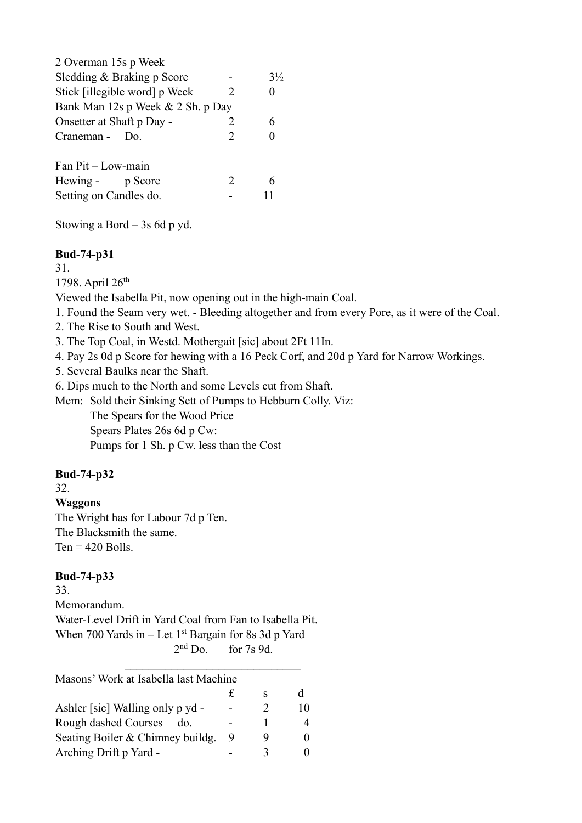| 2 Overman 15s p Week              |                             |                |
|-----------------------------------|-----------------------------|----------------|
| Sledding & Braking p Score        |                             | $3\frac{1}{2}$ |
| Stick [illegible word] p Week     | $\mathcal{D}_{\mathcal{L}}$ |                |
| Bank Man 12s p Week & 2 Sh. p Day |                             |                |
| Onsetter at Shaft p Day -         | 2                           |                |
| Craneman - Do.                    | $\mathcal{P}$               |                |
| Fan Pit – Low-main                |                             |                |
| Hewing - p Score                  | 2                           |                |
| Setting on Candles do.            |                             |                |
|                                   |                             |                |

Stowing a Bord  $-$  3s 6d p yd.

#### **Bud-74-p31**

31.

1798. April 26<sup>th</sup>

Viewed the Isabella Pit, now opening out in the high-main Coal.

1. Found the Seam very wet. - Bleeding altogether and from every Pore, as it were of the Coal.

2. The Rise to South and West.

3. The Top Coal, in Westd. Mothergait [sic] about 2Ft 11In.

4. Pay 2s 0d p Score for hewing with a 16 Peck Corf, and 20d p Yard for Narrow Workings.

5. Several Baulks near the Shaft.

6. Dips much to the North and some Levels cut from Shaft.

Mem: Sold their Sinking Sett of Pumps to Hebburn Colly. Viz: The Spears for the Wood Price Spears Plates 26s 6d p Cw: Pumps for 1 Sh. p Cw. less than the Cost

### **Bud-74-p32**

32.

#### **Waggons**

The Wright has for Labour 7d p Ten. The Blacksmith the same.  $Ten = 420$  Bolls.

## **Bud-74-p33**

33. Memorandum. Water-Level Drift in Yard Coal from Fan to Isabella Pit. When 700 Yards in  $-$  Let 1st Bargain for 8s 3d p Yard  $2<sup>nd</sup>$  Do. for  $7s$  9d.

| Masons' Work at Isabella last Machine |   |    |
|---------------------------------------|---|----|
|                                       | S | d  |
| Ashler [sic] Walling only p yd -      |   | 10 |
| Rough dashed Courses<br>do.           |   |    |
| Seating Boiler & Chimney buildg.      |   |    |
| Arching Drift p Yard -                |   |    |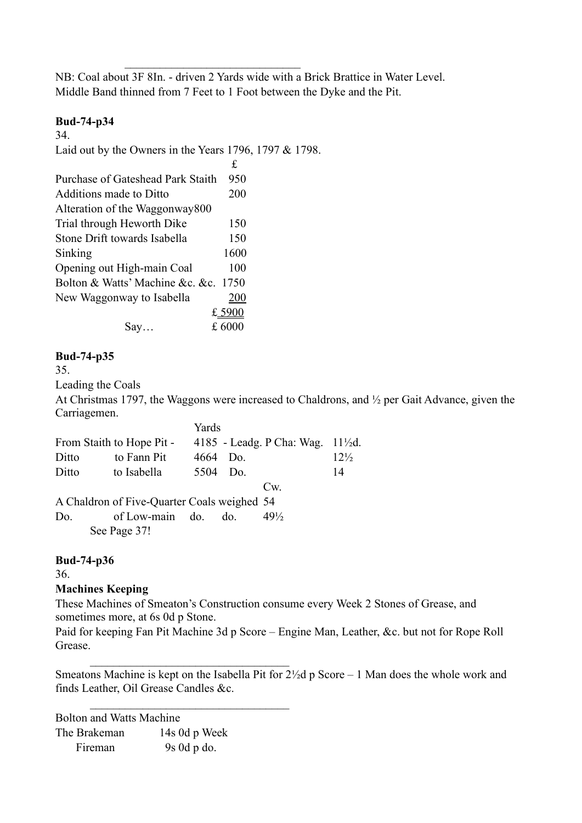NB: Coal about 3F 8In. - driven 2 Yards wide with a Brick Brattice in Water Level. Middle Band thinned from 7 Feet to 1 Foot between the Dyke and the Pit.

## **Bud-74-p34**

34.

Laid out by the Owners in the Years 1796, 1797 & 1798.

 $\mathcal{L}_\text{max}$  and  $\mathcal{L}_\text{max}$  and  $\mathcal{L}_\text{max}$  and  $\mathcal{L}_\text{max}$ 

|                                   | £      |
|-----------------------------------|--------|
| Purchase of Gateshead Park Staith | 950    |
| Additions made to Ditto           | 200    |
| Alteration of the Waggonway800    |        |
| Trial through Heworth Dike        | 150    |
| Stone Drift towards Isabella      | 150    |
| Sinking                           | 1600   |
| Opening out High-main Coal        | 100    |
| Bolton & Watts' Machine &c. &c.   | 1750   |
| New Waggonway to Isabella         | 200    |
|                                   | £ 5900 |
| Say                               | £ 6000 |

## **Bud-74-p35**

35.

Leading the Coals

At Christmas 1797, the Waggons were increased to Chaldrons, and ½ per Gait Advance, given the Carriagemen.  $\overline{Y}$   $\overline{Y}$   $\overline{Y}$   $\overline{Y}$   $\overline{Y}$   $\overline{Y}$   $\overline{Y}$   $\overline{Y}$   $\overline{Y}$   $\overline{Y}$   $\overline{Y}$   $\overline{Y}$   $\overline{Y}$   $\overline{Y}$   $\overline{Y}$   $\overline{Y}$   $\overline{Y}$   $\overline{Y}$   $\overline{Y}$   $\overline{Y}$   $\overline{Y}$   $\overline{Y}$   $\overline{Y}$   $\overline{Y}$   $\overline{$ 

|       |                                             | r ards |     |                                 |                 |
|-------|---------------------------------------------|--------|-----|---------------------------------|-----------------|
|       | From Staith to Hope Pit -                   |        |     | 4185 - Leadg. P Cha: Wag. 11½d. |                 |
| Ditto | to Fann Pit                                 | 4664   | Do. |                                 | $12\frac{1}{2}$ |
| Ditto | to Isabella                                 | 5504   | Do. |                                 | 14              |
|       |                                             |        |     | Cw.                             |                 |
|       | A Chaldron of Five-Quarter Coals weighed 54 |        |     |                                 |                 |
| Do.   | of Low-main do. do.                         |        |     | $49\frac{1}{2}$                 |                 |
|       | See Page 37!                                |        |     |                                 |                 |
|       |                                             |        |     |                                 |                 |

### **Bud-74-p36**

36.

### **Machines Keeping**

These Machines of Smeaton's Construction consume every Week 2 Stones of Grease, and sometimes more, at 6s 0d p Stone.

Paid for keeping Fan Pit Machine 3d p Score – Engine Man, Leather, &c. but not for Rope Roll Grease.

Smeatons Machine is kept on the Isabella Pit for 2½d p Score – 1 Man does the whole work and finds Leather, Oil Grease Candles &c.

Bolton and Watts Machine The Brakeman 14s 0d p Week Fireman 9s 0d p do.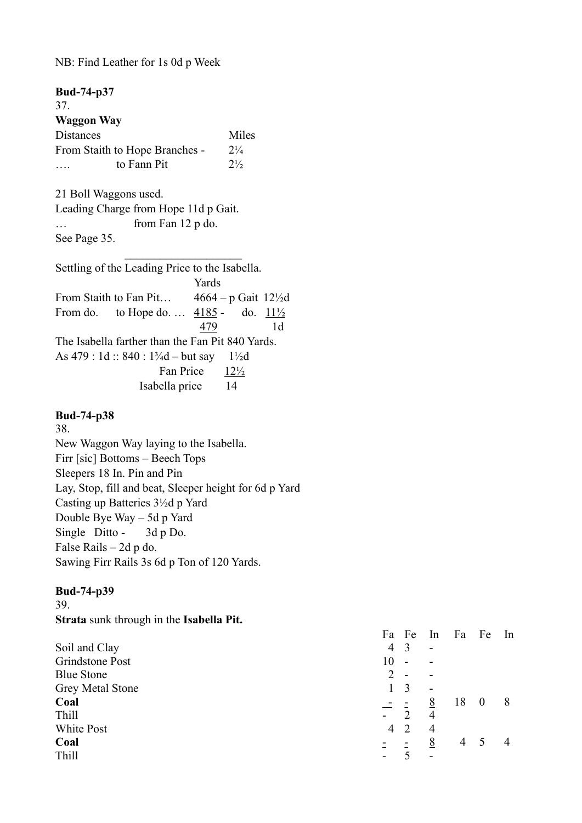NB: Find Leather for 1s 0d p Week

| <b>Bud-74-p37</b> |                                                              |                           |                |                |
|-------------------|--------------------------------------------------------------|---------------------------|----------------|----------------|
| 37.               |                                                              |                           |                |                |
| <b>Waggon Way</b> |                                                              |                           |                |                |
| Distances         |                                                              |                           | Miles          |                |
|                   | From Staith to Hope Branches -                               |                           | $2\frac{1}{4}$ |                |
|                   | to Fann Pit                                                  |                           | $2\frac{1}{2}$ |                |
|                   | 21 Boll Waggons used.                                        |                           |                |                |
|                   | Leading Charge from Hope 11d p Gait.                         |                           |                |                |
|                   | from Fan 12 p do.                                            |                           |                |                |
| See Page 35.      |                                                              |                           |                |                |
|                   | Settling of the Leading Price to the Isabella.               |                           |                |                |
|                   |                                                              | Yards                     |                |                |
|                   | From Staith to Fan Pit $4664 - p$ Gait 12½d                  |                           |                |                |
|                   | From do. to Hope do. $4185 -$ do. $11\frac{1}{2}$            |                           |                |                |
|                   |                                                              | 479                       |                | 1 <sub>d</sub> |
|                   | The Isabella farther than the Fan Pit 840 Yards.             |                           |                |                |
|                   | As $479 : 1d :: 840 : 1\frac{3}{4}d - but say 1\frac{1}{2}d$ |                           |                |                |
|                   |                                                              | Fan Price $12\frac{1}{2}$ |                |                |
|                   | Isabella price 14                                            |                           |                |                |
|                   |                                                              |                           |                |                |

### **Bud-74-p38**

38. New Waggon Way laying to the Isabella. Firr [sic] Bottoms – Beech Tops Sleepers 18 In. Pin and Pin Lay, Stop, fill and beat, Sleeper height for 6d p Yard Casting up Batteries 3½d p Yard Double Bye Way – 5d p Yard Single Ditto - 3d p Do. False Rails – 2d p do. Sawing Firr Rails 3s 6d p Ton of 120 Yards.

## **Bud-74-p39**

39.

**Strata** sunk through in the **Isabella Pit.**

|                         | Fa             | Fe                          | ln                       | Fa | Fe               | In |
|-------------------------|----------------|-----------------------------|--------------------------|----|------------------|----|
| Soil and Clay           | $\overline{4}$ | 3                           | $\overline{\phantom{0}}$ |    |                  |    |
| Grindstone Post         | 10             | -                           |                          |    |                  |    |
| <b>Blue Stone</b>       | 2              | $\overline{\phantom{a}}$    | $\overline{\phantom{a}}$ |    |                  |    |
| <b>Grey Metal Stone</b> |                | 3                           | $\overline{\phantom{0}}$ |    |                  |    |
| Coal                    | $\pm$ $\pm$    |                             | 8                        | 18 | $\boldsymbol{0}$ | 8  |
| Thill                   | $\blacksquare$ | $\mathcal{D}_{\mathcal{A}}$ | 4                        |    |                  |    |
| White Post              | 4              | 2                           | $\overline{4}$           |    |                  |    |
| Coal                    |                |                             | 8                        | 4  |                  | 4  |
| Thill                   | -              |                             | $\overline{\phantom{0}}$ |    |                  |    |
|                         |                |                             |                          |    |                  |    |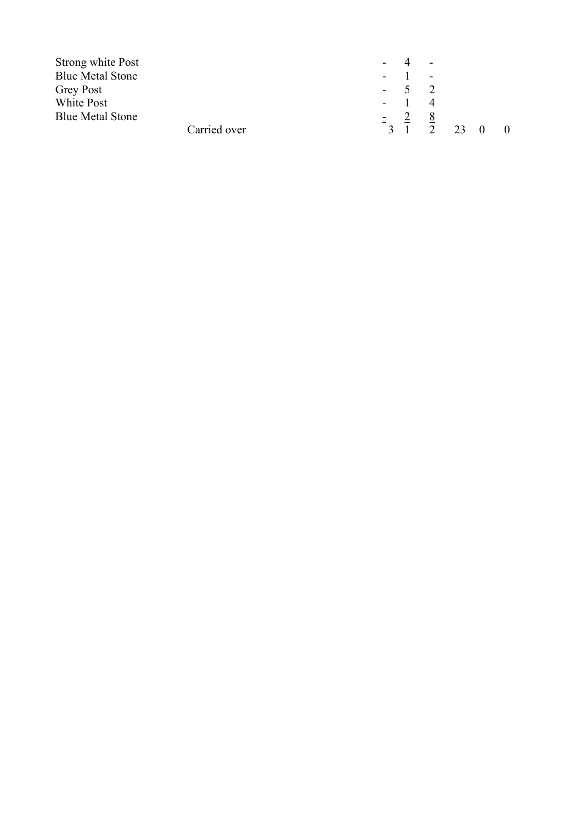| Strong white Post       |              |                                       | $\sim$ $\sim$               |    |          |          |
|-------------------------|--------------|---------------------------------------|-----------------------------|----|----------|----------|
| <b>Blue Metal Stone</b> |              |                                       | $\sim$                      |    |          |          |
| <b>Grey Post</b>        |              | $-5$ 2                                |                             |    |          |          |
| White Post              |              | $-1$                                  | $\overline{4}$              |    |          |          |
| <b>Blue Metal Stone</b> |              | $\equiv$ $\equiv$                     | $\underline{\underline{8}}$ |    |          |          |
|                         | Carried over | $\begin{array}{cc} 3 & 1 \end{array}$ | $\mathcal{D}$               | 23 | $\theta$ | $\theta$ |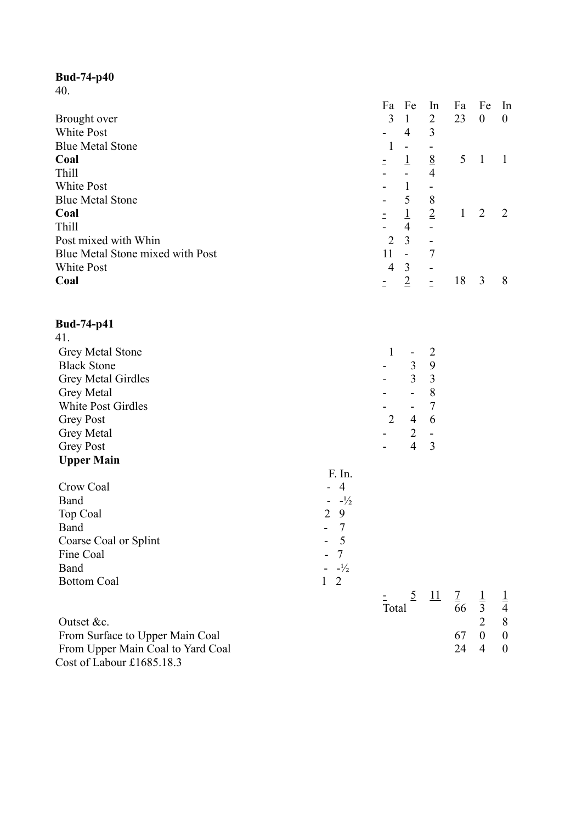40.

|                                  | Fa       |                | Fe             | In             | Fa           | Fe               | In               |
|----------------------------------|----------|----------------|----------------|----------------|--------------|------------------|------------------|
| Brought over                     |          | 3              | $\mathbf{1}$   | $\overline{2}$ | 23           | $\boldsymbol{0}$ | $\boldsymbol{0}$ |
| White Post                       |          |                | 4              | 3              |              |                  |                  |
| <b>Blue Metal Stone</b>          |          | 1              |                |                |              |                  |                  |
| Coal                             |          |                | $\perp$        | $\frac{8}{4}$  | 5            | $\mathbf{1}$     |                  |
| Thill                            |          |                |                |                |              |                  |                  |
| <b>White Post</b>                |          |                | $\mathbf{1}$   | -              |              |                  |                  |
| <b>Blue Metal Stone</b>          |          |                | 5              | 8              |              |                  |                  |
| Coal                             | $\equiv$ |                | $\perp$        | $\overline{2}$ | $\mathbf{1}$ | 2                | 2                |
| Thill                            |          |                | $\overline{4}$ |                |              |                  |                  |
| Post mixed with Whin             |          | $\overline{2}$ | $\overline{3}$ |                |              |                  |                  |
| Blue Metal Stone mixed with Post | 11       |                | $\overline{a}$ | 7              |              |                  |                  |
| <b>White Post</b>                |          | $\overline{4}$ | 3              |                |              |                  |                  |
| Coal                             | Ξ.       |                | $\overline{2}$ | ۳              | 18           | 3                | 8                |
| <b>Bud-74-p41</b>                |          |                |                |                |              |                  |                  |
| 41.                              |          |                |                |                |              |                  |                  |
| <b>Grey Metal Stone</b>          |          | 1              |                | $\overline{2}$ |              |                  |                  |
| <b>Black Stone</b>               |          |                | 3              | 9              |              |                  |                  |
| Grey Metal Girdles               |          |                | 3              | 3              |              |                  |                  |
|                                  |          |                |                |                |              |                  |                  |

Grey Metal **Figure 2** and  $\overline{a}$  and  $\overline{a}$  and  $\overline{a}$  and  $\overline{a}$  and  $\overline{a}$  and  $\overline{a}$  and  $\overline{a}$  and  $\overline{a}$  and  $\overline{a}$  and  $\overline{a}$  and  $\overline{a}$  and  $\overline{a}$  and  $\overline{a}$  and  $\overline{a}$  and  $\overline{a}$  and White Post Girdles **- 7** Grey Post 2 4 6

#### Grey Metal **Contract 2** - 2 -Grey Post **4** 3 **Upper Main**

|                       | F. In.                   |       |                            |               |               |
|-----------------------|--------------------------|-------|----------------------------|---------------|---------------|
| Crow Coal             | - 4                      |       |                            |               |               |
| Band                  | $-1/2$                   |       |                            |               |               |
| Top Coal              | 2<br>9                   |       |                            |               |               |
| Band                  | $\overline{\phantom{a}}$ |       |                            |               |               |
| Coarse Coal or Splint | $-5$                     |       |                            |               |               |
| Fine Coal             | $-7$                     |       |                            |               |               |
| Band                  | $-1/2$                   |       |                            |               |               |
| <b>Bottom Coal</b>    | 1<br>-2                  |       |                            |               |               |
|                       |                          |       |                            |               | $\frac{1}{4}$ |
|                       |                          | Total | $rac{5}{66}$ $rac{11}{66}$ | $\frac{1}{3}$ |               |

| Outset &c.                        |        | 2 8 |  |
|-----------------------------------|--------|-----|--|
| From Surface to Upper Main Coal   | 67 0 0 |     |  |
| From Upper Main Coal to Yard Coal | 24 4 0 |     |  |
| Cost of Labour $\pounds1685.18.3$ |        |     |  |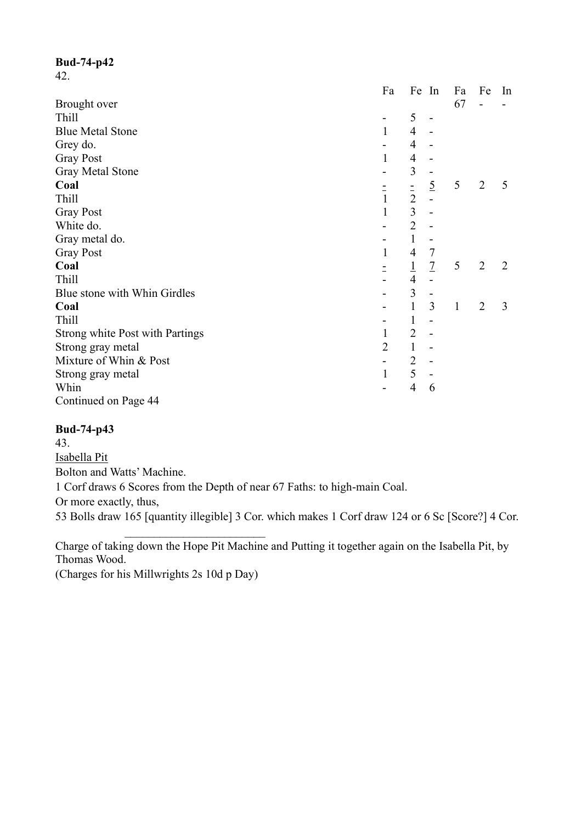42.

|                                        | Fa             | Fe In          |                | Fa           | Fe             | In |
|----------------------------------------|----------------|----------------|----------------|--------------|----------------|----|
| Brought over                           |                |                |                | 67           |                |    |
| <b>Thill</b>                           |                | 5              |                |              |                |    |
| <b>Blue Metal Stone</b>                | 1              | 4              |                |              |                |    |
| Grey do.                               |                | 4              |                |              |                |    |
| <b>Gray Post</b>                       |                | 4              |                |              |                |    |
| <b>Gray Metal Stone</b>                |                | 3              |                |              |                |    |
| Coal                                   |                |                | $\overline{5}$ | 5            | $\overline{2}$ | 5  |
| Thill                                  | $\frac{1}{1}$  | $\frac{1}{2}$  |                |              |                |    |
| <b>Gray Post</b>                       | $\mathbf{1}$   | $\overline{3}$ |                |              |                |    |
| White do.                              |                | $\overline{2}$ |                |              |                |    |
| Gray metal do.                         |                | $\mathbf{1}$   |                |              |                |    |
| <b>Gray Post</b>                       | $\mathbf{1}$   | 4              | $\overline{7}$ |              |                |    |
| Coal                                   |                | $\overline{1}$ | $\overline{1}$ | 5            | $\overline{2}$ | 2  |
| <b>Thill</b>                           |                | $\overline{4}$ |                |              |                |    |
| Blue stone with Whin Girdles           |                | 3              |                |              |                |    |
| Coal                                   |                | $\mathbf{1}$   | 3              | $\mathbf{1}$ | $\overline{2}$ | 3  |
| <b>Thill</b>                           |                | $\mathbf{1}$   |                |              |                |    |
| <b>Strong white Post with Partings</b> |                | $\overline{2}$ |                |              |                |    |
| Strong gray metal                      | $\overline{2}$ | $\mathbf{1}$   |                |              |                |    |
| Mixture of Whin & Post                 |                | $\overline{2}$ |                |              |                |    |
| Strong gray metal                      |                | 5              |                |              |                |    |
| Whin                                   |                | $\overline{4}$ | 6              |              |                |    |
| Continued on Page 44                   |                |                |                |              |                |    |

### **Bud-74-p43**

43. Isabella Pit Bolton and Watts' Machine. 1 Corf draws 6 Scores from the Depth of near 67 Faths: to high-main Coal. Or more exactly, thus, 53 Bolls draw 165 [quantity illegible] 3 Cor. which makes 1 Corf draw 124 or 6 Sc [Score?] 4 Cor.

Charge of taking down the Hope Pit Machine and Putting it together again on the Isabella Pit, by Thomas Wood.

(Charges for his Millwrights 2s 10d p Day)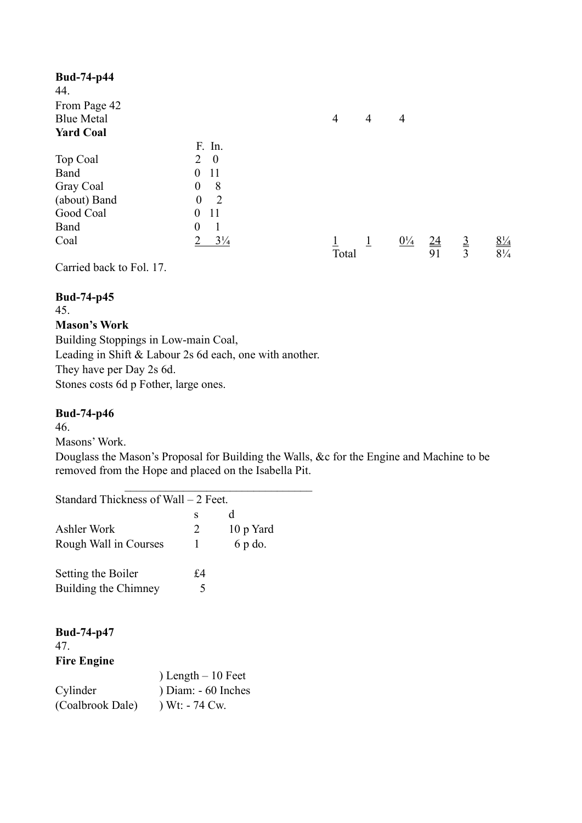| <b>Bud-74-p44</b> |                                            |       |                |                |                  |             |                                     |
|-------------------|--------------------------------------------|-------|----------------|----------------|------------------|-------------|-------------------------------------|
| 44.               |                                            |       |                |                |                  |             |                                     |
| From Page 42      |                                            |       |                |                |                  |             |                                     |
| <b>Blue Metal</b> |                                            | 4     | $\overline{4}$ | $\overline{4}$ |                  |             |                                     |
| <b>Yard Coal</b>  |                                            |       |                |                |                  |             |                                     |
|                   | F. In.                                     |       |                |                |                  |             |                                     |
| Top Coal          | $\overline{\phantom{0}}$<br>$\overline{2}$ |       |                |                |                  |             |                                     |
| Band              | -11<br>$\overline{0}$                      |       |                |                |                  |             |                                     |
| Gray Coal         | 8<br>$\boldsymbol{0}$                      |       |                |                |                  |             |                                     |
| (about) Band      | $\boldsymbol{0}$<br>2                      |       |                |                |                  |             |                                     |
| Good Coal         | 11<br>$\boldsymbol{0}$                     |       |                |                |                  |             |                                     |
| Band              | $\boldsymbol{0}$<br>$\mathbf{1}$           |       |                |                |                  |             |                                     |
| Coal              | າ<br>$3\frac{1}{4}$                        |       | $\perp$        | $0\frac{1}{4}$ | $\underline{24}$ | $rac{3}{3}$ | $\frac{8\frac{1}{4}}{8\frac{1}{4}}$ |
|                   |                                            | Total |                |                | 91               |             |                                     |

Carried back to Fol. 17.

## **Bud-74-p45**

45.

## **Mason's Work**

Building Stoppings in Low-main Coal, Leading in Shift & Labour 2s 6d each, one with another. They have per Day 2s 6d. Stones costs 6d p Fother, large ones.

## **Bud-74-p46**

46.

Masons' Work.

Douglass the Mason's Proposal for Building the Walls, &c for the Engine and Machine to be removed from the Hope and placed on the Isabella Pit.

| Standard Thickness of Wall – 2 Feet. |                      |    |           |
|--------------------------------------|----------------------|----|-----------|
|                                      |                      | S  | d         |
| Ashler Work                          |                      | 2  | 10 p Yard |
| Rough Wall in Courses                |                      | 1  | 6 p do.   |
| Setting the Boiler                   |                      | £4 |           |
| Building the Chimney                 |                      | 5  |           |
|                                      |                      |    |           |
| <b>Bud-74-p47</b>                    |                      |    |           |
| 47.                                  |                      |    |           |
| <b>Fire Engine</b>                   |                      |    |           |
|                                      | $)$ Length – 10 Feet |    |           |
| Cylinder                             | ) Diam: - 60 Inches  |    |           |
| (Coalbrook Dale)                     | ) Wt: - 74 Cw.       |    |           |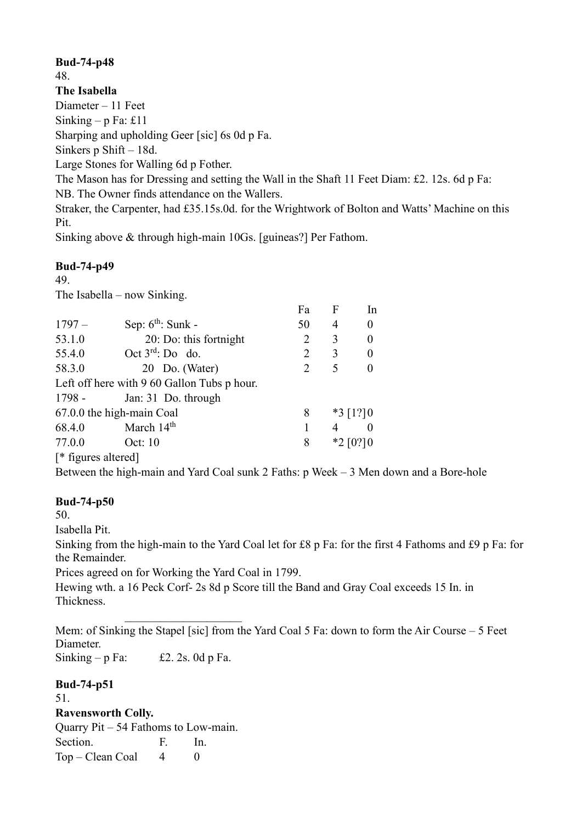48.

**The Isabella**

Diameter – 11 Feet

Sinking –  $p$  Fa: £11

Sharping and upholding Geer [sic] 6s 0d p Fa.

Sinkers p Shift – 18d.

Large Stones for Walling 6d p Fother.

The Mason has for Dressing and setting the Wall in the Shaft 11 Feet Diam: £2. 12s. 6d p Fa: NB. The Owner finds attendance on the Wallers.

Straker, the Carpenter, had £35.15s.0d. for the Wrightwork of Bolton and Watts' Machine on this Pit.

Sinking above & through high-main 10Gs. [guineas?] Per Fathom.

## **Bud-74-p49**

49.

The Isabella – now Sinking.

|                     |                                             | Fa             | F | In          |
|---------------------|---------------------------------------------|----------------|---|-------------|
| $1797-$             | Sep: $6th$ : Sunk -                         | 50             | 4 | $\theta$    |
| 53.1.0              | 20: Do: this fortnight                      | $\overline{2}$ | 3 | 0           |
| 55.4.0              | Oct $3^{\text{rd}}$ : Do do.                | $\overline{2}$ | 3 | 0           |
| 58.3.0              | 20 Do. (Water)                              | 2              | 5 |             |
|                     | Left off here with 9 60 Gallon Tubs p hour. |                |   |             |
| $1798 -$            | Jan: 31 Do. through                         |                |   |             |
|                     | 67.0.0 the high-main Coal                   | 8              |   | $*3$ [1?] 0 |
| 68.4.0              | March 14 <sup>th</sup>                      | 1              | 4 |             |
| 77.0.0              | Oct: 10                                     | 8              |   | $*2$ [0?] 0 |
| [* figures altered] |                                             |                |   |             |

Between the high-main and Yard Coal sunk 2 Faths: p Week – 3 Men down and a Bore-hole

## **Bud-74-p50**

50.

Isabella Pit.

Sinking from the high-main to the Yard Coal let for £8 p Fa: for the first 4 Fathoms and £9 p Fa: for the Remainder.

Prices agreed on for Working the Yard Coal in 1799.

Hewing wth. a 16 Peck Corf- 2s 8d p Score till the Band and Gray Coal exceeds 15 In. in Thickness.

Mem: of Sinking the Stapel [sic] from the Yard Coal 5 Fa: down to form the Air Course – 5 Feet Diameter.

Sinking – p Fa:  $\pounds 2$ . 2s. 0d p Fa.

**Bud-74-p51** 51. **Ravensworth Colly.** Quarry Pit – 54 Fathoms to Low-main. Section. F. In.  $Top - Clean Coal$  4 0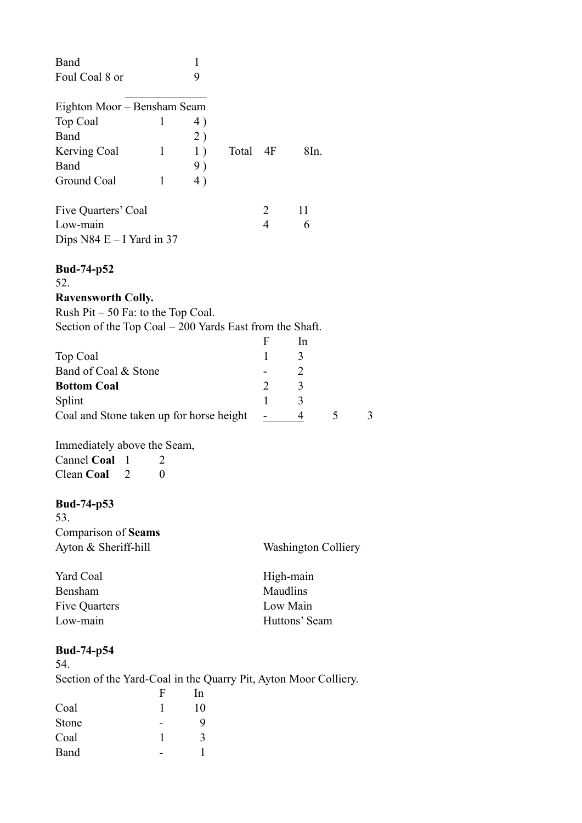| Band                                                                  | 1  |          |                |                            |   |   |
|-----------------------------------------------------------------------|----|----------|----------------|----------------------------|---|---|
| Foul Coal 8 or                                                        | 9  |          |                |                            |   |   |
|                                                                       |    |          |                |                            |   |   |
| Eighton Moor - Bensham Seam                                           |    |          |                |                            |   |   |
| Top Coal<br>1                                                         | 4) |          |                |                            |   |   |
| Band                                                                  | 2) |          |                |                            |   |   |
| Kerving Coal<br>$\mathbf{1}$                                          | 1) | Total 4F |                | 8In.                       |   |   |
| Band                                                                  | 9) |          |                |                            |   |   |
| Ground Coal<br>$\mathbf{1}$                                           | 4) |          |                |                            |   |   |
| Five Quarters' Coal                                                   |    |          | 2              | 11                         |   |   |
| Low-main                                                              |    |          | $\overline{4}$ | 6                          |   |   |
| Dips $N84 E - I$ Yard in 37                                           |    |          |                |                            |   |   |
|                                                                       |    |          |                |                            |   |   |
| <b>Bud-74-p52</b><br>52.                                              |    |          |                |                            |   |   |
| <b>Ravensworth Colly.</b>                                             |    |          |                |                            |   |   |
| Rush $Pit - 50$ Fa: to the Top Coal.                                  |    |          |                |                            |   |   |
| Section of the Top Coal $-200$ Yards East from the Shaft.             |    |          |                |                            |   |   |
|                                                                       |    |          | F              | In                         |   |   |
| Top Coal                                                              |    |          | 1              | 3                          |   |   |
| Band of Coal & Stone                                                  |    |          |                | $\overline{c}$             |   |   |
| <b>Bottom Coal</b>                                                    |    |          | $\overline{2}$ | 3                          |   |   |
| Splint                                                                |    |          | 1              | 3                          |   |   |
|                                                                       |    |          |                |                            |   |   |
| Coal and Stone taken up for horse height                              |    |          |                | 4                          | 5 | 3 |
|                                                                       |    |          |                |                            |   |   |
| Immediately above the Seam,                                           |    |          |                |                            |   |   |
| Cannel Coal<br>1<br>$\mathbf{2}$                                      |    |          |                |                            |   |   |
| Clean Coal<br>2<br>0                                                  |    |          |                |                            |   |   |
| <b>Bud-74-p53</b>                                                     |    |          |                |                            |   |   |
| 53.                                                                   |    |          |                |                            |   |   |
| Comparison of Seams                                                   |    |          |                |                            |   |   |
| Ayton & Sheriff-hill                                                  |    |          |                | <b>Washington Colliery</b> |   |   |
|                                                                       |    |          |                |                            |   |   |
| <b>Yard Coal</b>                                                      |    |          |                | High-main                  |   |   |
| Bensham                                                               |    |          | Maudlins       |                            |   |   |
| Five Quarters                                                         |    |          |                | Low Main                   |   |   |
| Low-main                                                              |    |          |                | Huttons' Seam              |   |   |
| <b>Bud-74-p54</b><br>54.                                              |    |          |                |                            |   |   |
|                                                                       |    |          |                |                            |   |   |
| Section of the Yard-Coal in the Quarry Pit, Ayton Moor Colliery.<br>F | In |          |                |                            |   |   |
| Coal<br>1                                                             | 10 |          |                |                            |   |   |
| Stone                                                                 | 9  |          |                |                            |   |   |
| Coal<br>1                                                             | 3  |          |                |                            |   |   |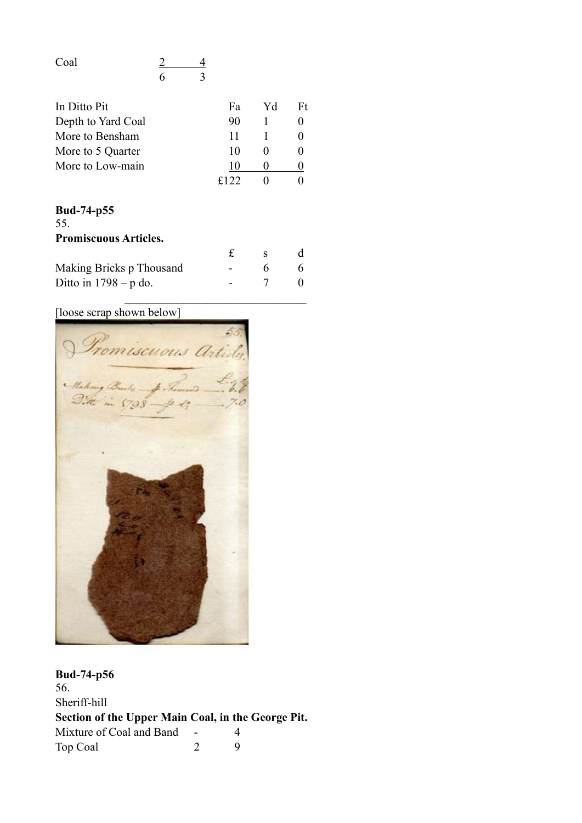| Coal |  |
|------|--|
|      |  |

| In Ditto Pit       | Fа   | Yd | Ft |
|--------------------|------|----|----|
| Depth to Yard Coal | 90   |    |    |
| More to Bensham    | 11   |    |    |
| More to 5 Quarter  | 10   |    |    |
| More to Low-main   |      |    |    |
|                    | f122 |    |    |

## **Bud-74-p55** 55. **Promiscuous Articles.** £ s d Making Bricks p Thousand - 6 6 Ditto in  $1798 - p$  do.  $7 \t 7 \t 0$

[loose scrap shown below]



**Bud-74-p56** 56. Sheriff-hill **Section of the Upper Main Coal, in the George Pit.** Mixture of Coal and Band - 4 Top Coal 2 9